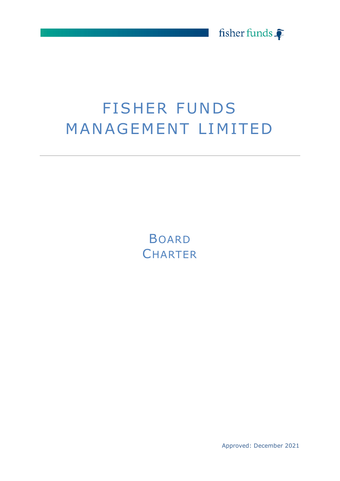

# **FISHER FUNDS** MANAGEMENT LIM ITED

**BOARD CHARTER** 

Approved: December 2021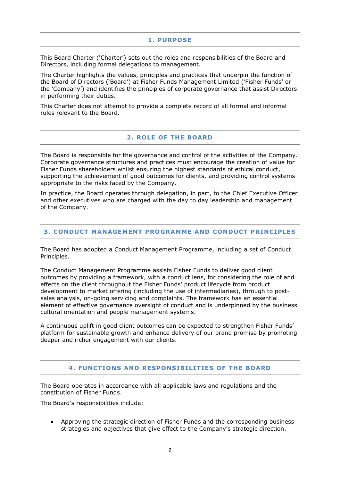#### **1. PURPOSE**

This Board Charter ('Charter') sets out the roles and responsibilities of the Board and Directors, including formal delegations to management.

The Charter highlights the values, principles and practices that underpin the function of the Board of Directors ('Board') at Fisher Funds Management Limited ('Fisher Funds' or the 'Company') and identifies the principles of corporate governance that assist Directors in performing their duties.

This Charter does not attempt to provide a complete record of all formal and informal rules relevant to the Board.

#### **2 . ROLE OF THE BOARD**

The Board is responsible for the governance and control of the activities of the Company. Corporate governance structures and practices must encourage the creation of value for Fisher Funds shareholders whilst ensuring the highest standards of ethical conduct, supporting the achievement of good outcomes for clients, and providing control systems appropriate to the risks faced by the Company.

In practice, the Board operates through delegation, in part, to the Chief Executive Officer and other executives who are charged with the day to day leadership and management of the Company.

### **3. CONDUCT MANAGEMENT PROGRAMME AND CONDUCT PRINCIPLES**

The Board has adopted a Conduct Management Programme, including a set of Conduct Principles.

The Conduct Management Programme assists Fisher Funds to deliver good client outcomes by providing a framework, with a conduct lens, for considering the role of and effects on the client throughout the Fisher Funds' product lifecycle from product development to market offering (including the use of intermediaries), through to postsales analysis, on-going servicing and complaints. The framework has an essential element of effective governance oversight of conduct and is underpinned by the business' cultural orientation and people management systems.

A continuous uplift in good client outcomes can be expected to strengthen Fisher Funds' platform for sustainable growth and enhance delivery of our brand promise by promoting deeper and richer engagement with our clients.

## **4. FUNCT IONS AND RESPONSIBILIT IES OF THE BOARD**

The Board operates in accordance with all applicable laws and regulations and the constitution of Fisher Funds.

The Board's responsibilities include:

• Approving the strategic direction of Fisher Funds and the corresponding business strategies and objectives that give effect to the Company's strategic direction.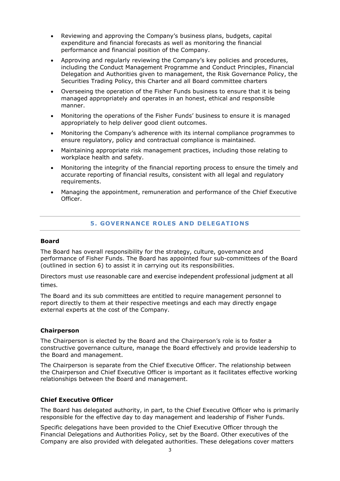- Reviewing and approving the Company's business plans, budgets, capital expenditure and financial forecasts as well as monitoring the financial performance and financial position of the Company.
- Approving and regularly reviewing the Company's key policies and procedures, including the Conduct Management Programme and Conduct Principles, Financial Delegation and Authorities given to management, the Risk Governance Policy, the Securities Trading Policy, this Charter and all Board committee charters
- Overseeing the operation of the Fisher Funds business to ensure that it is being managed appropriately and operates in an honest, ethical and responsible manner.
- Monitoring the operations of the Fisher Funds' business to ensure it is managed appropriately to help deliver good client outcomes.
- Monitoring the Company's adherence with its internal compliance programmes to ensure regulatory, policy and contractual compliance is maintained.
- Maintaining appropriate risk management practices, including those relating to workplace health and safety.
- Monitoring the integrity of the financial reporting process to ensure the timely and accurate reporting of financial results, consistent with all legal and regulatory requirements.
- Managing the appointment, remuneration and performance of the Chief Executive Officer.

## **5 . GOVERNANCE ROLES AND DELEGATIONS**

#### **Board**

The Board has overall responsibility for the strategy, culture, governance and performance of Fisher Funds. The Board has appointed four sub-committees of the Board (outlined in section 6) to assist it in carrying out its responsibilities.

Directors must use reasonable care and exercise independent professional judgment at all times.

The Board and its sub committees are entitled to require management personnel to report directly to them at their respective meetings and each may directly engage external experts at the cost of the Company.

#### **Chairperson**

The Chairperson is elected by the Board and the Chairperson's role is to foster a constructive governance culture, manage the Board effectively and provide leadership to the Board and management.

The Chairperson is separate from the Chief Executive Officer. The relationship between the Chairperson and Chief Executive Officer is important as it facilitates effective working relationships between the Board and management.

#### **Chief Executive Officer**

The Board has delegated authority, in part, to the Chief Executive Officer who is primarily responsible for the effective day to day management and leadership of Fisher Funds.

Specific delegations have been provided to the Chief Executive Officer through the Financial Delegations and Authorities Policy, set by the Board. Other executives of the Company are also provided with delegated authorities. These delegations cover matters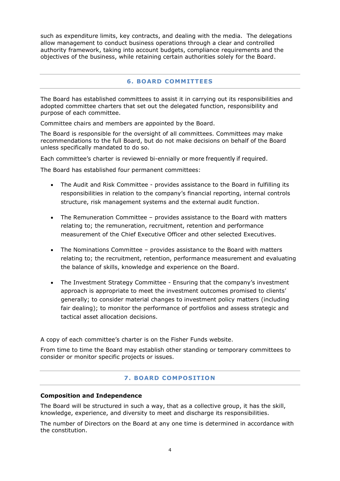such as expenditure limits, key contracts, and dealing with the media. The delegations allow management to conduct business operations through a clear and controlled authority framework, taking into account budgets, compliance requirements and the objectives of the business, while retaining certain authorities solely for the Board.

## **6. BOARD COMM ITTEES**

The Board has established committees to assist it in carrying out its responsibilities and adopted committee charters that set out the delegated function, responsibility and purpose of each committee.

Committee chairs and members are appointed by the Board.

The Board is responsible for the oversight of all committees. Committees may make recommendations to the full Board, but do not make decisions on behalf of the Board unless specifically mandated to do so.

Each committee's charter is reviewed bi-ennially or more frequently if required.

The Board has established four permanent committees:

- The Audit and Risk Committee provides assistance to the Board in fulfilling its responsibilities in relation to the company's financial reporting, internal controls structure, risk management systems and the external audit function.
- The Remuneration Committee provides assistance to the Board with matters relating to; the remuneration, recruitment, retention and performance measurement of the Chief Executive Officer and other selected Executives.
- The Nominations Committee provides assistance to the Board with matters relating to; the recruitment, retention, performance measurement and evaluating the balance of skills, knowledge and experience on the Board.
- The Investment Strategy Committee Ensuring that the company's investment approach is appropriate to meet the investment outcomes promised to clients' generally; to consider material changes to investment policy matters (including fair dealing); to monitor the performance of portfolios and assess strategic and tactical asset allocation decisions.

A copy of each committee's charter is on the Fisher Funds website.

From time to time the Board may establish other standing or temporary committees to consider or monitor specific projects or issues.

## **7. BOARD COMPOSITION**

## **Composition and Independence**

The Board will be structured in such a way, that as a collective group, it has the skill, knowledge, experience, and diversity to meet and discharge its responsibilities.

The number of Directors on the Board at any one time is determined in accordance with the constitution.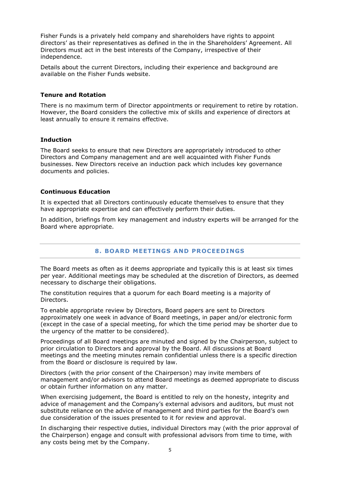Fisher Funds is a privately held company and shareholders have rights to appoint directors' as their representatives as defined in the in the Shareholders' Agreement. All Directors must act in the best interests of the Company, irrespective of their independence.

Details about the current Directors, including their experience and background are available on the Fisher Funds website.

#### **Tenure and Rotation**

There is no maximum term of Director appointments or requirement to retire by rotation. However, the Board considers the collective mix of skills and experience of directors at least annually to ensure it remains effective.

### **Induction**

The Board seeks to ensure that new Directors are appropriately introduced to other Directors and Company management and are well acquainted with Fisher Funds businesses. New Directors receive an induction pack which includes key governance documents and policies.

### **Continuous Education**

It is expected that all Directors continuously educate themselves to ensure that they have appropriate expertise and can effectively perform their duties.

In addition, briefings from key management and industry experts will be arranged for the Board where appropriate.

## **8. BOARD MEETINGS AND PROCEEDINGS**

The Board meets as often as it deems appropriate and typically this is at least six times per year. Additional meetings may be scheduled at the discretion of Directors, as deemed necessary to discharge their obligations.

The constitution requires that a quorum for each Board meeting is a majority of Directors.

To enable appropriate review by Directors, Board papers are sent to Directors approximately one week in advance of Board meetings, in paper and/or electronic form (except in the case of a special meeting, for which the time period may be shorter due to the urgency of the matter to be considered).

Proceedings of all Board meetings are minuted and signed by the Chairperson, subject to prior circulation to Directors and approval by the Board. All discussions at Board meetings and the meeting minutes remain confidential unless there is a specific direction from the Board or disclosure is required by law.

Directors (with the prior consent of the Chairperson) may invite members of management and/or advisors to attend Board meetings as deemed appropriate to discuss or obtain further information on any matter.

When exercising judgement, the Board is entitled to rely on the honesty, integrity and advice of management and the Company's external advisors and auditors, but must not substitute reliance on the advice of management and third parties for the Board's own due consideration of the issues presented to it for review and approval.

In discharging their respective duties, individual Directors may (with the prior approval of the Chairperson) engage and consult with professional advisors from time to time, with any costs being met by the Company.